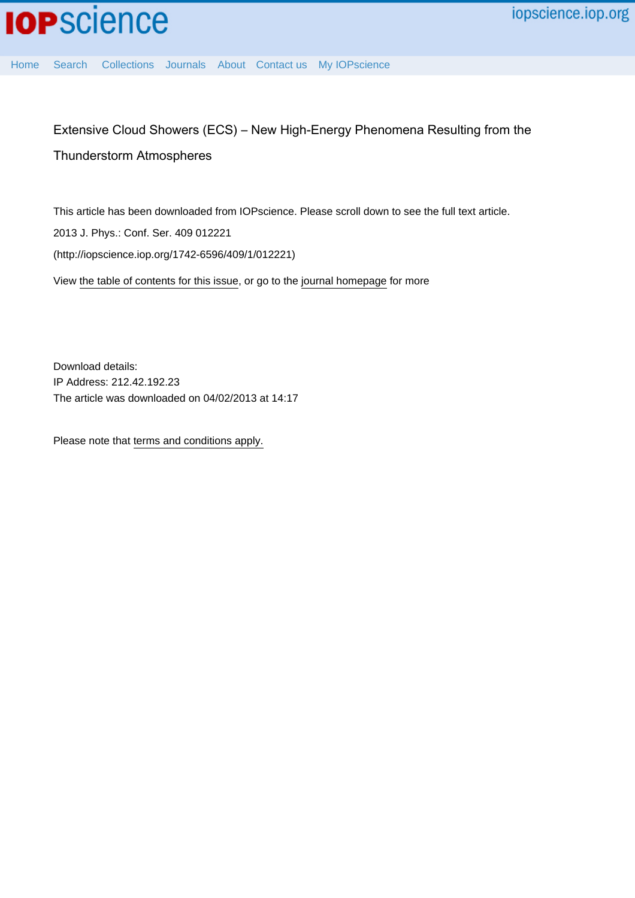

[Home](http://iopscience.iop.org/) [Search](http://iopscience.iop.org/search) [Collections](http://iopscience.iop.org/collections) [Journals](http://iopscience.iop.org/journals) [About](http://iopscience.iop.org/page/aboutioppublishing) [Contact us](http://iopscience.iop.org/contact) [My IOPscience](http://iopscience.iop.org/myiopscience)

# Extensive Cloud Showers (ECS) – New High-Energy Phenomena Resulting from the Thunderstorm Atmospheres

This article has been downloaded from IOPscience. Please scroll down to see the full text article. 2013 J. Phys.: Conf. Ser. 409 012221 (http://iopscience.iop.org/1742-6596/409/1/012221) View [the table of contents for this issue](http://iopscience.iop.org/1742-6596/409/1), or go to the [journal homepage](http://iopscience.iop.org/1742-6596) for more

Download details: IP Address: 212.42.192.23 The article was downloaded on 04/02/2013 at 14:17

Please note that [terms and conditions apply.](http://iopscience.iop.org/page/terms)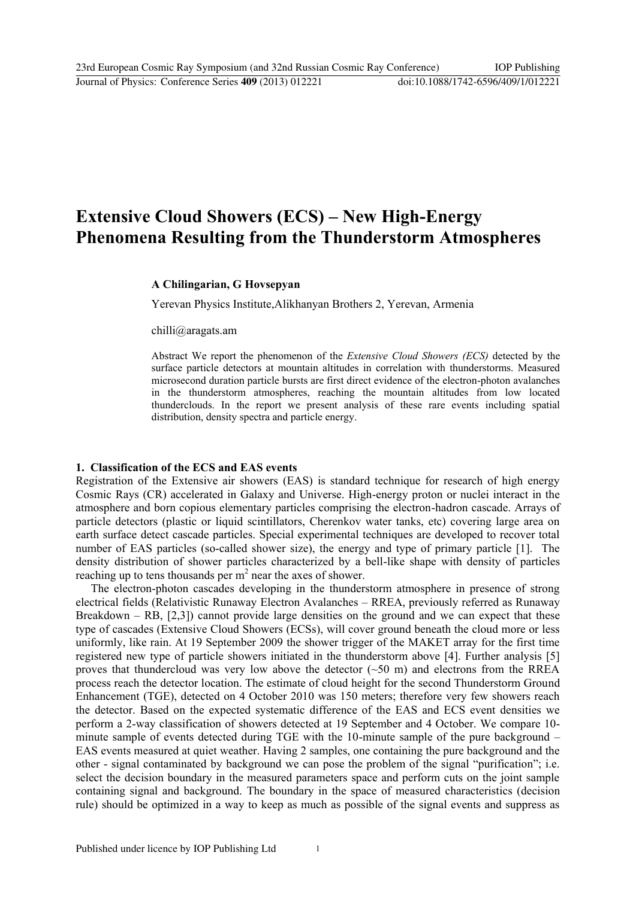## **Extensive Cloud Showers (ECS) – New High-Energy Phenomena Resulting from the Thunderstorm Atmospheres**

#### **A Chilingarian, G Hovsepyan**

Yerevan Physics Institute,Alikhanyan Brothers 2, Yerevan, Armenia

chilli@aragats.am

Abstract We report the phenomenon of the *Extensive Cloud Showers (ECS)* detected by the surface particle detectors at mountain altitudes in correlation with thunderstorms. Measured microsecond duration particle bursts are first direct evidence of the electron-photon avalanches in the thunderstorm atmospheres, reaching the mountain altitudes from low located thunderclouds. In the report we present analysis of these rare events including spatial distribution, density spectra and particle energy.

#### **1. Classification of the ECS and EAS events**

Registration of the Extensive air showers (EAS) is standard technique for research of high energy Cosmic Rays (CR) accelerated in Galaxy and Universe. High-energy proton or nuclei interact in the atmosphere and born copious elementary particles comprising the electron-hadron cascade. Arrays of particle detectors (plastic or liquid scintillators, Cherenkov water tanks, etc) covering large area on earth surface detect cascade particles. Special experimental techniques are developed to recover total number of EAS particles (so-called shower size), the energy and type of primary particle [1]. The density distribution of shower particles characterized by a bell-like shape with density of particles reaching up to tens thousands per  $m<sup>2</sup>$  near the axes of shower.

The electron-photon cascades developing in the thunderstorm atmosphere in presence of strong electrical fields (Relativistic Runaway Electron Avalanches – RREA, previously referred as Runaway Breakdown – RB, [2,3]) cannot provide large densities on the ground and we can expect that these type of cascades (Extensive Cloud Showers (ECSs), will cover ground beneath the cloud more or less uniformly, like rain. At 19 September 2009 the shower trigger of the MAKET array for the first time registered new type of particle showers initiated in the thunderstorm above [4]. Further analysis [5] proves that thundercloud was very low above the detector  $(\sim 50 \text{ m})$  and electrons from the RREA process reach the detector location. The estimate of cloud height for the second Thunderstorm Ground Enhancement (TGE), detected on 4 October 2010 was 150 meters; therefore very few showers reach the detector. Based on the expected systematic difference of the EAS and ECS event densities we perform a 2-way classification of showers detected at 19 September and 4 October. We compare 10 minute sample of events detected during TGE with the 10-minute sample of the pure background – EAS events measured at quiet weather. Having 2 samples, one containing the pure background and the other - signal contaminated by background we can pose the problem of the signal "purification"; i.e. select the decision boundary in the measured parameters space and perform cuts on the joint sample containing signal and background. The boundary in the space of measured characteristics (decision rule) should be optimized in a way to keep as much as possible of the signal events and suppress as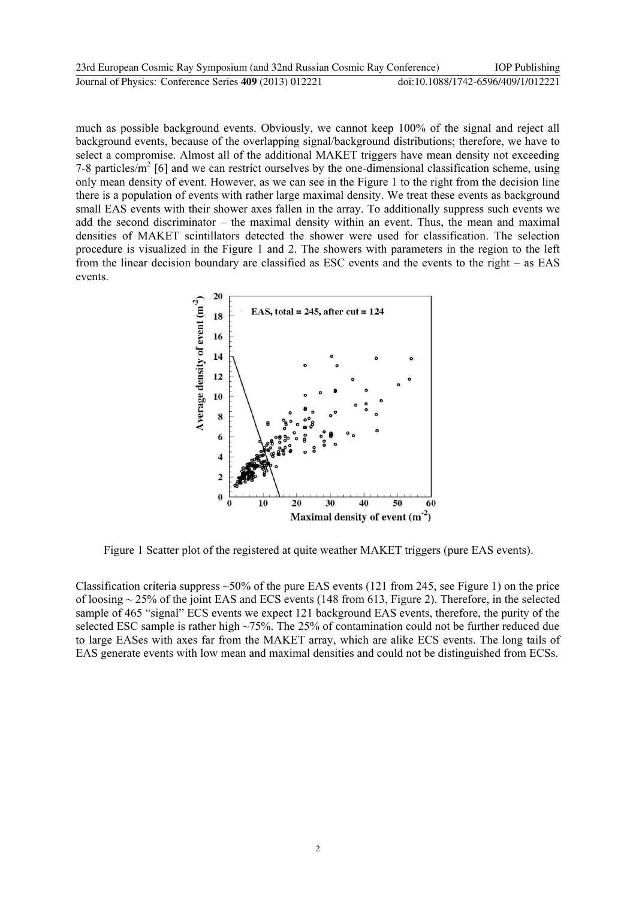| 23rd European Cosmic Ray Symposium (and 32nd Russian Cosmic Ray Conference) | <b>IOP</b> Publishing              |
|-----------------------------------------------------------------------------|------------------------------------|
| Journal of Physics: Conference Series 409 (2013) 012221                     | doi:10.1088/1742-6596/409/1/012221 |

much as possible background events. Obviously, we cannot keep 100% of the signal and reject all background events, because of the overlapping signal/background distributions; therefore, we have to select a compromise. Almost all of the additional MAKET triggers have mean density not exceeding 7-8 particles/ $m^2$  [6] and we can restrict ourselves by the one-dimensional classification scheme, using only mean density of event. However, as we can see in the Figure 1 to the right from the decision line there is a population of events with rather large maximal density. We treat these events as background small EAS events with their shower axes fallen in the array. To additionally suppress such events we add the second discriminator – the maximal density within an event. Thus, the mean and maximal densities of MAKET scintillators detected the shower were used for classification. The selection procedure is visualized in the Figure 1 and 2. The showers with parameters in the region to the left from the linear decision boundary are classified as ESC events and the events to the right – as EAS events.



Figure 1 Scatter plot of the registered at quite weather MAKET triggers (pure EAS events).

Classification criteria suppress  $\sim$  50% of the pure EAS events (121 from 245, see Figure 1) on the price of loosing ~ 25% of the joint EAS and ECS events (148 from 613, Figure 2). Therefore, in the selected sample of 465 "signal" ECS events we expect 121 background EAS events, therefore, the purity of the selected ESC sample is rather high  $\sim$ 75%. The 25% of contamination could not be further reduced due to large EASes with axes far from the MAKET array, which are alike ECS events. The long tails of EAS generate events with low mean and maximal densities and could not be distinguished from ECSs.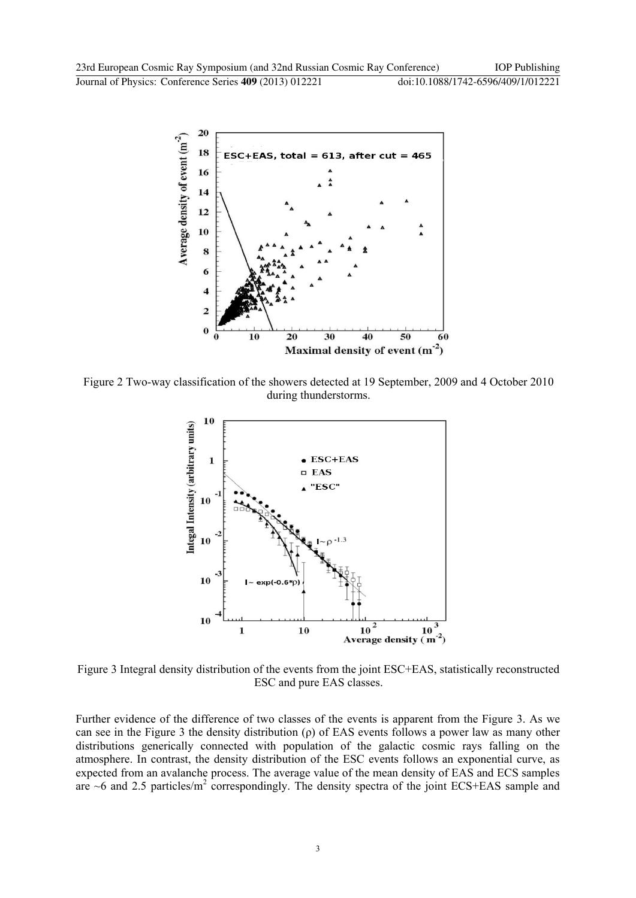

Figure 2 Two-way classification of the showers detected at 19 September, 2009 and 4 October 2010 during thunderstorms.



Figure 3 Integral density distribution of the events from the joint ESC+EAS, statistically reconstructed ESC and pure EAS classes.

Further evidence of the difference of two classes of the events is apparent from the Figure 3. As we can see in the Figure 3 the density distribution (ρ) of EAS events follows a power law as many other distributions generically connected with population of the galactic cosmic rays falling on the atmosphere. In contrast, the density distribution of the ESC events follows an exponential curve, as expected from an avalanche process. The average value of the mean density of EAS and ECS samples are  $\sim$ 6 and 2.5 particles/ $m^2$  correspondingly. The density spectra of the joint ECS+EAS sample and